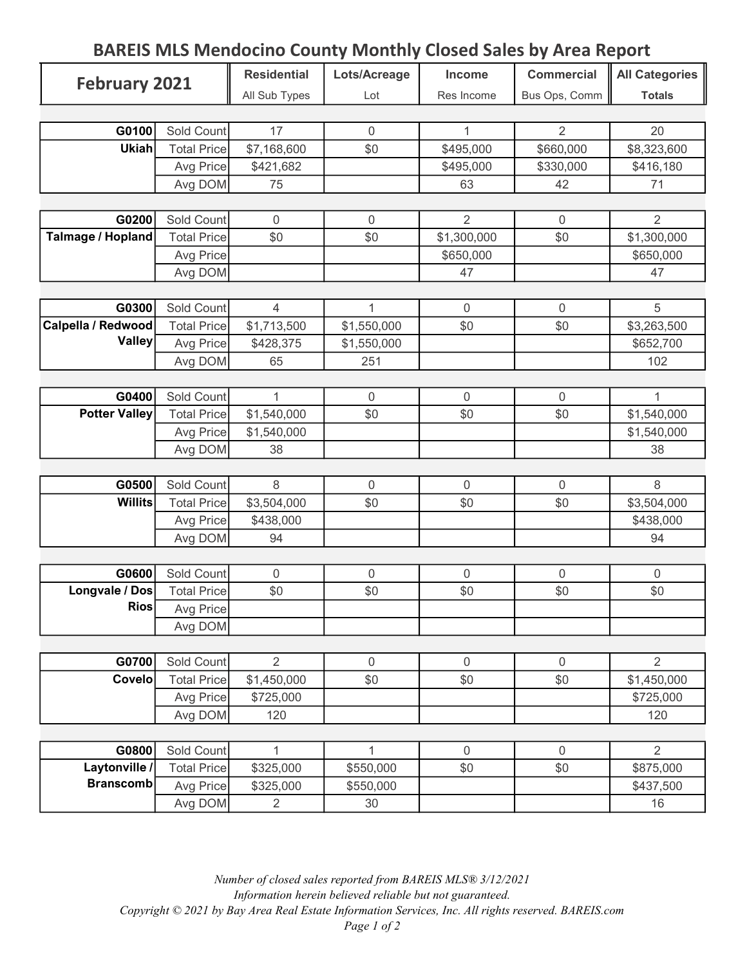## BAREIS MLS Mendocino County Monthly Closed Sales by Area Report

| <b>February 2021</b>              |                    | <b>Residential</b> | Lots/Acreage     | Income         | <b>Commercial</b> | <b>All Categories</b> |
|-----------------------------------|--------------------|--------------------|------------------|----------------|-------------------|-----------------------|
|                                   |                    | All Sub Types      | Lot              | Res Income     | Bus Ops, Comm     | <b>Totals</b>         |
|                                   |                    |                    |                  |                |                   |                       |
| G0100                             | Sold Count         | 17                 | $\overline{0}$   | 1              | $\overline{2}$    | 20                    |
| <b>Ukiah</b>                      | <b>Total Price</b> | \$7,168,600        | \$0              | \$495,000      | \$660,000         | \$8,323,600           |
|                                   | Avg Price          | \$421,682          |                  | \$495,000      | \$330,000         | \$416,180             |
|                                   | Avg DOM            | 75                 |                  | 63             | 42                | 71                    |
|                                   |                    |                    |                  |                |                   |                       |
| G0200                             | Sold Count         | $\mathbf 0$        | $\boldsymbol{0}$ | $\overline{2}$ | $\mathbf 0$       | $\overline{2}$        |
| <b>Talmage / Hopland</b>          | <b>Total Price</b> | \$0                | \$0              | \$1,300,000    | \$0               | \$1,300,000           |
|                                   | Avg Price          |                    |                  | \$650,000      |                   | \$650,000             |
|                                   | Avg DOM            |                    |                  | 47             |                   | 47                    |
|                                   |                    |                    |                  |                |                   |                       |
| G0300                             | Sold Count         | $\overline{4}$     | $\mathbf{1}$     | $\mathbf 0$    | $\mathbf 0$       | 5                     |
| Calpella / Redwood                | <b>Total Price</b> | \$1,713,500        | \$1,550,000      | \$0            | \$0               | \$3,263,500           |
| <b>Valley</b>                     | Avg Price          | \$428,375          | \$1,550,000      |                |                   | \$652,700             |
|                                   | Avg DOM            | 65                 | 251              |                |                   | 102                   |
|                                   |                    |                    |                  |                |                   |                       |
| G0400                             | Sold Count         | $\mathbf{1}$       | $\boldsymbol{0}$ | $\overline{0}$ | $\mathbf 0$       | $\mathbf{1}$          |
| <b>Potter Valley</b>              | <b>Total Price</b> | \$1,540,000        | \$0              | \$0            | \$0               | \$1,540,000           |
|                                   | Avg Price          | \$1,540,000        |                  |                |                   | \$1,540,000           |
|                                   | Avg DOM            | 38                 |                  |                |                   | 38                    |
|                                   |                    |                    |                  |                |                   |                       |
| G0500                             | Sold Count         | 8                  | $\mathbf 0$      | $\mathbf{0}$   | $\mathbf 0$       | 8                     |
| <b>Willits</b>                    | <b>Total Price</b> | \$3,504,000        | \$0              | \$0            | \$0               | \$3,504,000           |
|                                   | Avg Price          | \$438,000          |                  |                |                   | \$438,000             |
|                                   | Avg DOM            | 94                 |                  |                |                   | 94                    |
|                                   |                    |                    |                  |                |                   |                       |
| G0600                             | Sold Count         | $\mathbf 0$        | $\mathbf 0$      | $\mathbf 0$    | $\mathbf 0$       | $\overline{0}$        |
| Longvale / Dos                    | <b>Total Price</b> | \$0                | \$0              | \$0            | \$0               | \$0                   |
| <b>Rios</b>                       | Avg Price          |                    |                  |                |                   |                       |
|                                   | Avg DOM            |                    |                  |                |                   |                       |
|                                   |                    |                    |                  |                |                   |                       |
| G0700                             | Sold Count         | 2                  | $\boldsymbol{0}$ | $\mathbf 0$    | $\mathbf 0$       | $\overline{2}$        |
| <b>Covelo</b>                     | <b>Total Price</b> | \$1,450,000        | \$0              | \$0            | \$0               | \$1,450,000           |
|                                   | Avg Price          | \$725,000          |                  |                |                   | \$725,000             |
|                                   | Avg DOM            | 120                |                  |                |                   | 120                   |
|                                   |                    |                    |                  |                |                   |                       |
| G0800                             | Sold Count         | $\mathbf{1}$       | $\mathbf{1}$     | $\mathbf 0$    | $\mathbf 0$       | $\overline{2}$        |
| Laytonville /<br><b>Branscomb</b> | <b>Total Price</b> | \$325,000          | \$550,000        | \$0            | \$0               | \$875,000             |
|                                   | Avg Price          | \$325,000          | \$550,000        |                |                   | \$437,500             |
|                                   | Avg DOM            | $\overline{2}$     | 30               |                |                   | 16                    |

Number of closed sales reported from BAREIS MLS® 3/12/2021 Information herein believed reliable but not guaranteed. Copyright © 2021 by Bay Area Real Estate Information Services, Inc. All rights reserved. BAREIS.com Page 1 of 2